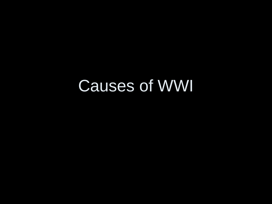### Causes of WWI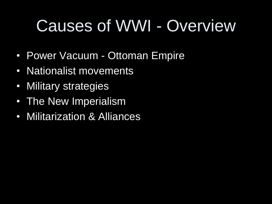## Causes of WWI - Overview

- Power Vacuum Ottoman Empire
- Nationalist movements
- Military strategies
- The New Imperialism
- Militarization & Alliances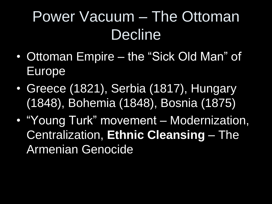### Power Vacuum – The Ottoman **Decline**

- Ottoman Empire the "Sick Old Man" of Europe
- Greece (1821), Serbia (1817), Hungary (1848), Bohemia (1848), Bosnia (1875)
- "Young Turk" movement Modernization, Centralization, **Ethnic Cleansing** – The Armenian Genocide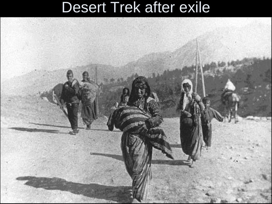#### Desert Trek after exile

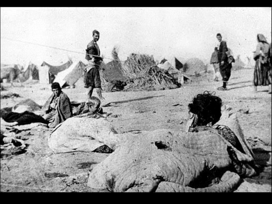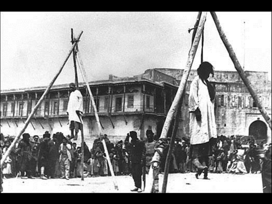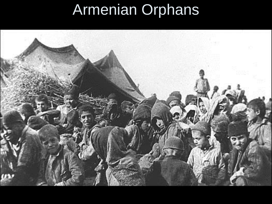### Armenian Orphans

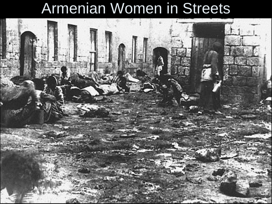#### Armenian Women in Streets

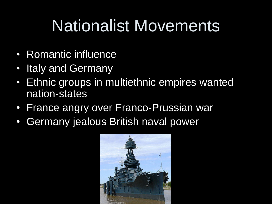## Nationalist Movements

- Romantic influence
- Italy and Germany
- Ethnic groups in multiethnic empires wanted nation-states
- France angry over Franco-Prussian war
- Germany jealous British naval power

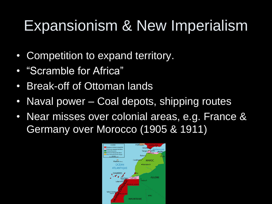#### Expansionism & New Imperialism

- Competition to expand territory.
- "Scramble for Africa"
- Break-off of Ottoman lands
- Naval power Coal depots, shipping routes
- Near misses over colonial areas, e.g. France & Germany over Morocco (1905 & 1911)

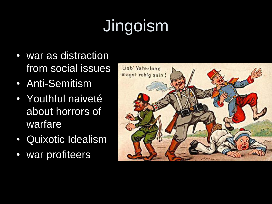# Jingoism

- war as distraction from social issues
- Anti-Semitism
- Youthful naiveté about horrors of warfare
- Quixotic Idealism
- war profiteers

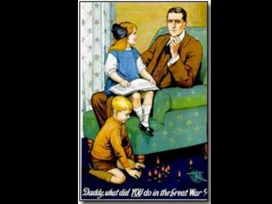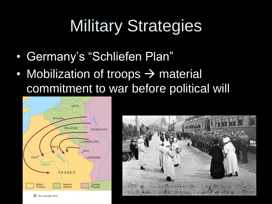# Military Strategies

- Germany's "Schliefen Plan"
- Mobilization of troops  $\rightarrow$  material commitment to war before political will





The Schlieffen Plan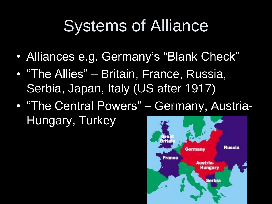## Systems of Alliance

- Alliances e.g. Germany's "Blank Check"
- "The Allies" Britain, France, Russia, Serbia, Japan, Italy (US after 1917)
- "The Central Powers" Germany, Austria-Hungary, Turkey

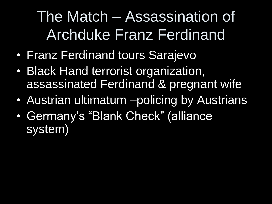### The Match – Assassination of Archduke Franz Ferdinand

- Franz Ferdinand tours Sarajevo
- Black Hand terrorist organization, assassinated Ferdinand & pregnant wife
- Austrian ultimatum –policing by Austrians
- Germany's "Blank Check" (alliance system)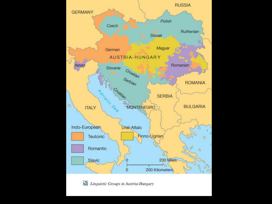

Linguistic Groups in Austria-Hungary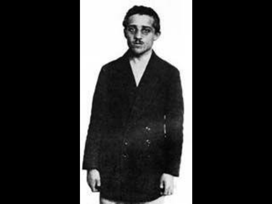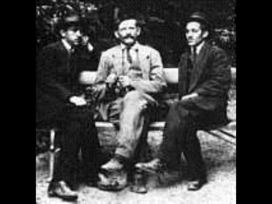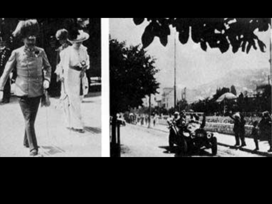

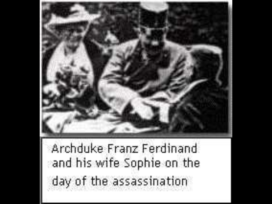

Archduke Franz Ferdinand and his wife Sophie on the day of the assassination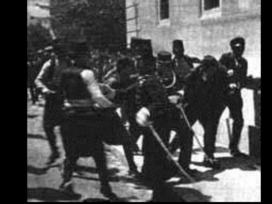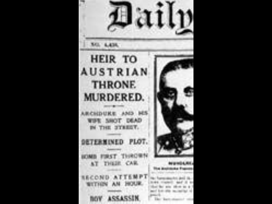

**SO, LESC** 

ARCHINIKE AND HIS WIFE SHOT DEAD IN THE STREET.

PLOT. **GETERNINED HOME FIRST THROWN** AT THEIR CAR





Daily

**MUMBERS** to automa fu Not select this one been and a series and hope The han major on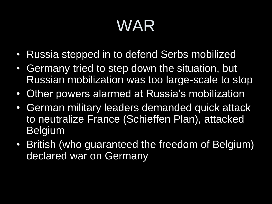# WAR

- Russia stepped in to defend Serbs mobilized
- Germany tried to step down the situation, but Russian mobilization was too large-scale to stop
- Other powers alarmed at Russia's mobilization
- German military leaders demanded quick attack to neutralize France (Schieffen Plan), attacked Belgium
- British (who guaranteed the freedom of Belgium) declared war on Germany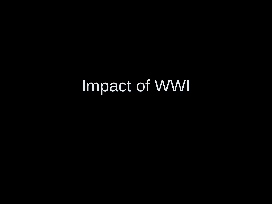## Impact of WWI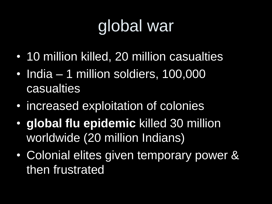# global war

- 10 million killed, 20 million casualties
- India 1 million soldiers, 100,000 casualties
- increased exploitation of colonies
- **global flu epidemic** killed 30 million worldwide (20 million Indians)
- Colonial elites given temporary power & then frustrated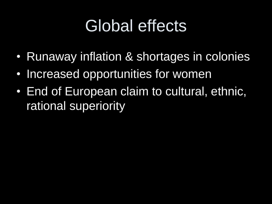## Global effects

- Runaway inflation & shortages in colonies
- Increased opportunities for women
- End of European claim to cultural, ethnic, rational superiority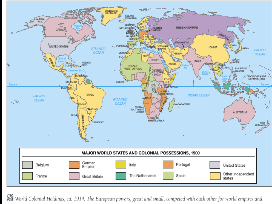

World Colonial Holdings, ca. 1914. The European powers, great and small, competed with each other for world empires and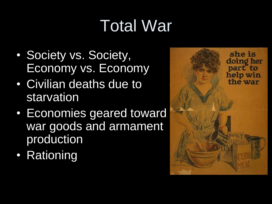# Total War

- Society vs. Society, Economy vs. Economy
- Civilian deaths due to starvation
- Economies geared toward war goods and armament production
- Rationing

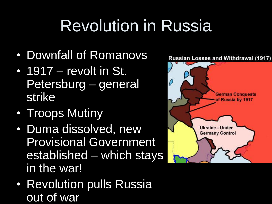## Revolution in Russia

- Downfall of Romanovs
- 1917 revolt in St. Petersburg – general strike
- Troops Mutiny
- Duma dissolved, new Provisional Government established – which stays in the war!
- Revolution pulls Russia out of war

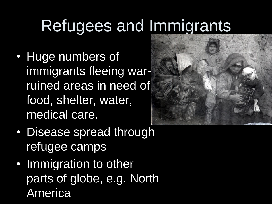# Refugees and Immigrants

• Huge numbers of immigrants fleeing warruined areas in need of food, shelter, water, medical care.



- Disease spread through refugee camps
- Immigration to other parts of globe, e.g. North **America**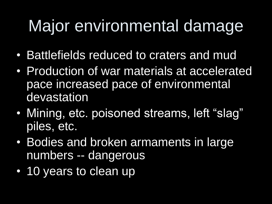# Major environmental damage

- Battlefields reduced to craters and mud
- Production of war materials at accelerated pace increased pace of environmental devastation
- Mining, etc. poisoned streams, left "slag" piles, etc.
- Bodies and broken armaments in large numbers -- dangerous
- 10 years to clean up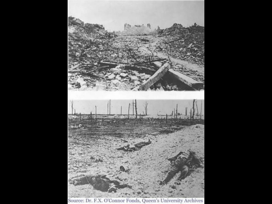

Source: Dr. F.X. O'Connor Fonds, Queen's University Archives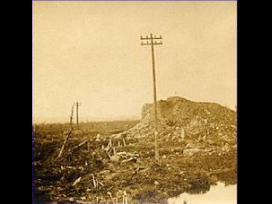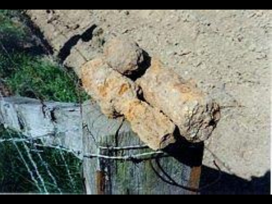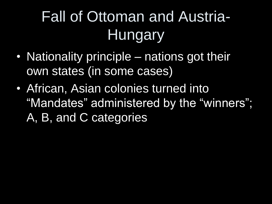## Fall of Ottoman and Austria-**Hungary**

- Nationality principle nations got their own states (in some cases)
- African, Asian colonies turned into "Mandates" administered by the "winners"; A, B, and C categories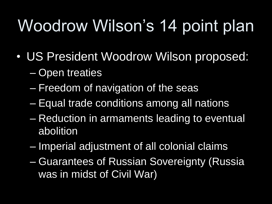# Woodrow Wilson's 14 point plan

- US President Woodrow Wilson proposed:
	- Open treaties
	- Freedom of navigation of the seas
	- Equal trade conditions among all nations
	- Reduction in armaments leading to eventual abolition
	- Imperial adjustment of all colonial claims
	- Guarantees of Russian Sovereignty (Russia was in midst of Civil War)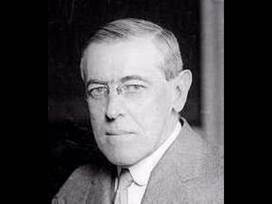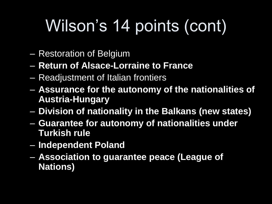# Wilson's 14 points (cont)

- Restoration of Belgium
- **Return of Alsace-Lorraine to France**
- Readjustment of Italian frontiers
- **Assurance for the autonomy of the nationalities of Austria-Hungary**
- **Division of nationality in the Balkans (new states)**
- **Guarantee for autonomy of nationalities under Turkish rule**
- **Independent Poland**
- **Association to guarantee peace (League of Nations)**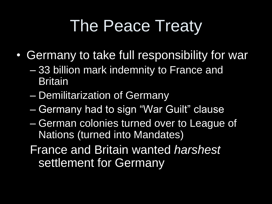# The Peace Treaty

- Germany to take full responsibility for war
	- 33 billion mark indemnity to France and Britain
	- Demilitarization of Germany
	- Germany had to sign "War Guilt" clause
	- German colonies turned over to League of Nations (turned into Mandates)
	- France and Britain wanted *harshest* settlement for Germany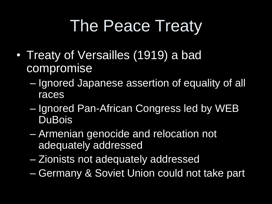# The Peace Treaty

- Treaty of Versailles (1919) a bad compromise
	- Ignored Japanese assertion of equality of all races
	- Ignored Pan-African Congress led by WEB **DuBois**
	- Armenian genocide and relocation not adequately addressed
	- Zionists not adequately addressed
	- Germany & Soviet Union could not take part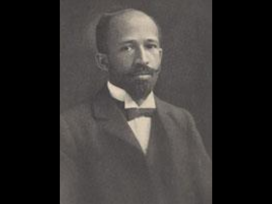